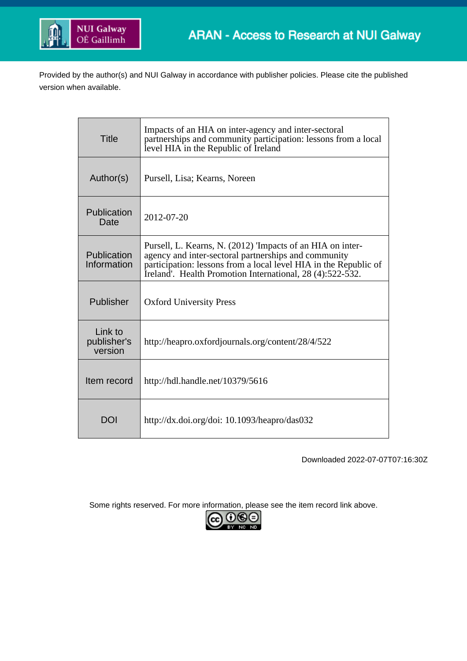

Provided by the author(s) and NUI Galway in accordance with publisher policies. Please cite the published version when available.

| <b>Title</b>                      | Impacts of an HIA on inter-agency and inter-sectoral<br>partnerships and community participation: lessons from a local<br>level HIA in the Republic of Ireland                                                                                      |
|-----------------------------------|-----------------------------------------------------------------------------------------------------------------------------------------------------------------------------------------------------------------------------------------------------|
| Author(s)                         | Pursell, Lisa; Kearns, Noreen                                                                                                                                                                                                                       |
| Publication<br>Date               | 2012-07-20                                                                                                                                                                                                                                          |
| Publication<br>Information        | Pursell, L. Kearns, N. (2012) 'Impacts of an HIA on inter-<br>agency and inter-sectoral partnerships and community<br>participation: lessons from a local level HIA in the Republic of<br>Ireland'. Health Promotion International, 28 (4):522-532. |
| Publisher                         | <b>Oxford University Press</b>                                                                                                                                                                                                                      |
| Link to<br>publisher's<br>version | http://heapro.oxfordjournals.org/content/28/4/522                                                                                                                                                                                                   |
| Item record                       | http://hdl.handle.net/10379/5616                                                                                                                                                                                                                    |
| <b>DOI</b>                        | http://dx.doi.org/doi: 10.1093/heapro/das032                                                                                                                                                                                                        |

Downloaded 2022-07-07T07:16:30Z

Some rights reserved. For more information, please see the item record link above.

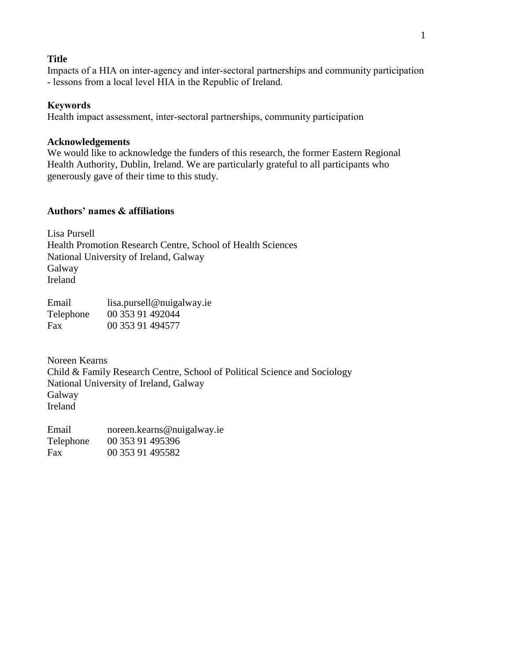#### **Title**

Impacts of a HIA on inter-agency and inter-sectoral partnerships and community participation - lessons from a local level HIA in the Republic of Ireland.

#### **Keywords**

Health impact assessment, inter-sectoral partnerships, community participation

#### **Acknowledgements**

We would like to acknowledge the funders of this research, the former Eastern Regional Health Authority, Dublin, Ireland. We are particularly grateful to all participants who generously gave of their time to this study.

#### **Authors' names & affiliations**

Lisa Pursell Health Promotion Research Centre, School of Health Sciences National University of Ireland, Galway Galway Ireland

Email lisa.pursell@nuigalway.ie Telephone 00 353 91 492044 Fax 00 353 91 494577

Noreen Kearns Child & Family Research Centre, School of Political Science and Sociology National University of Ireland, Galway Galway Ireland

| Email     | noreen.kearns@nuigalway.ie |
|-----------|----------------------------|
| Telephone | 00 353 91 495396           |
| Fax       | 00 353 91 495582           |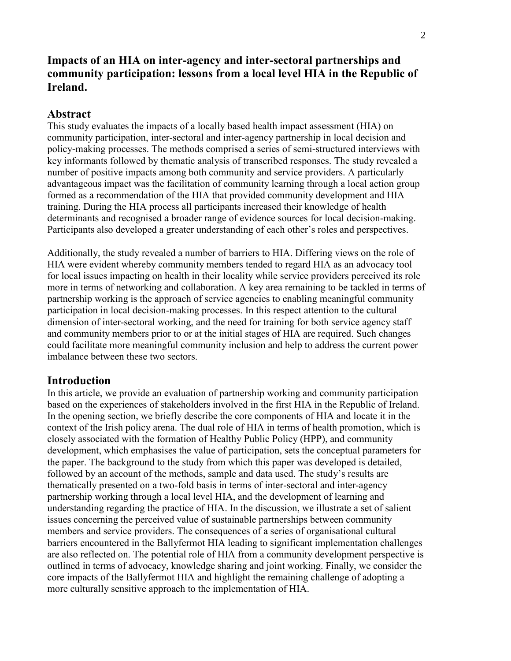# **Impacts of an HIA on inter-agency and inter-sectoral partnerships and community participation: lessons from a local level HIA in the Republic of Ireland.**

## **Abstract**

This study evaluates the impacts of a locally based health impact assessment (HIA) on community participation, inter-sectoral and inter-agency partnership in local decision and policy-making processes. The methods comprised a series of semi-structured interviews with key informants followed by thematic analysis of transcribed responses. The study revealed a number of positive impacts among both community and service providers. A particularly advantageous impact was the facilitation of community learning through a local action group formed as a recommendation of the HIA that provided community development and HIA training. During the HIA process all participants increased their knowledge of health determinants and recognised a broader range of evidence sources for local decision-making. Participants also developed a greater understanding of each other's roles and perspectives.

Additionally, the study revealed a number of barriers to HIA. Differing views on the role of HIA were evident whereby community members tended to regard HIA as an advocacy tool for local issues impacting on health in their locality while service providers perceived its role more in terms of networking and collaboration. A key area remaining to be tackled in terms of partnership working is the approach of service agencies to enabling meaningful community participation in local decision-making processes. In this respect attention to the cultural dimension of inter-sectoral working, and the need for training for both service agency staff and community members prior to or at the initial stages of HIA are required. Such changes could facilitate more meaningful community inclusion and help to address the current power imbalance between these two sectors.

# **Introduction**

In this article, we provide an evaluation of partnership working and community participation based on the experiences of stakeholders involved in the first HIA in the Republic of Ireland. In the opening section, we briefly describe the core components of HIA and locate it in the context of the Irish policy arena. The dual role of HIA in terms of health promotion, which is closely associated with the formation of Healthy Public Policy (HPP), and community development, which emphasises the value of participation, sets the conceptual parameters for the paper. The background to the study from which this paper was developed is detailed, followed by an account of the methods, sample and data used. The study's results are thematically presented on a two-fold basis in terms of inter-sectoral and inter-agency partnership working through a local level HIA, and the development of learning and understanding regarding the practice of HIA. In the discussion, we illustrate a set of salient issues concerning the perceived value of sustainable partnerships between community members and service providers. The consequences of a series of organisational cultural barriers encountered in the Ballyfermot HIA leading to significant implementation challenges are also reflected on. The potential role of HIA from a community development perspective is outlined in terms of advocacy, knowledge sharing and joint working. Finally, we consider the core impacts of the Ballyfermot HIA and highlight the remaining challenge of adopting a more culturally sensitive approach to the implementation of HIA.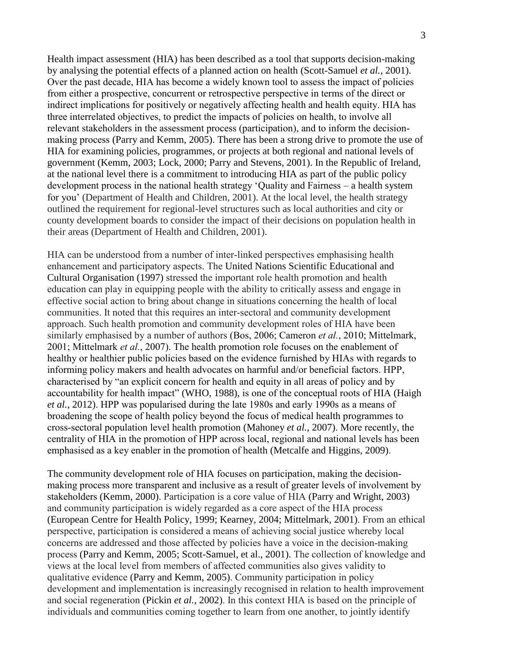Health impact assessment (HIA) has been described as a tool that supports decision-making by analysing the potential effects of a planned action on health [\(Scott-Samuel](#page-14-0) *et al.*, 2001). Over the past decade, HIA has become a widely known tool to assess the impact of policies from either a prospective, concurrent or retrospective perspective in terms of the direct or indirect implications for positively or negatively affecting health and health equity. HIA has three interrelated objectives, to predict the impacts of policies on health, to involve all relevant stakeholders in the assessment process (participation), and to inform the decisionmaking process [\(Parry and Kemm, 2005\)](#page-14-1). There has been a strong drive to promote the use of HIA for examining policies, programmes, or projects at both regional and national levels of government [\(Kemm, 2003;](#page-13-0) [Lock, 2000;](#page-14-2) [Parry and Stevens, 2001\)](#page-14-3). In the Republic of Ireland, at the national level there is a commitment to introducing HIA as part of the public policy development process in the national health strategy 'Quality and Fairness – a health system for you' [\(Department of Health and Children, 2001\)](#page-13-1). At the local level, the health strategy outlined the requirement for regional-level structures such as local authorities and city or county development boards to consider the impact of their decisions on population health in their areas [\(Department of Health and Children, 2001\)](#page-13-1).

HIA can be understood from a number of inter-linked perspectives emphasising health enhancement and participatory aspects. The United Nations Scientific Educational and Cultural Organisation [\(1997\)](#page-14-4) stressed the important role health promotion and health education can play in equipping people with the ability to critically assess and engage in effective social action to bring about change in situations concerning the health of local communities. It noted that this requires an inter-sectoral and community development approach. Such health promotion and community development roles of HIA have been similarly emphasised by a number of authors [\(Bos, 2006;](#page-13-2) [Cameron](#page-13-3) *et al.*, 2010; [Mittelmark,](#page-14-5)  [2001;](#page-14-5) [Mittelmark](#page-14-6) *et al.*, 2007). The health promotion role focuses on the enablement of healthy or healthier public policies based on the evidence furnished by HIAs with regards to informing policy makers and health advocates on harmful and/or beneficial factors. HPP, characterised by "an explicit concern for health and equity in all areas of policy and by accountability for health impact" [\(WHO, 1988\)](#page-14-7), is one of the conceptual roots of HIA [\(Haigh](#page-13-4) *et al.*[, 2012\)](#page-13-4). HPP was popularised during the late 1980s and early 1990s as a means of broadening the scope of health policy beyond the focus of medical health programmes to cross-sectoral population level health promotion [\(Mahoney](#page-14-8) *et al.*, 2007). More recently, the centrality of HIA in the promotion of HPP across local, regional and national levels has been emphasised as a key enabler in the promotion of health [\(Metcalfe and Higgins, 2009\)](#page-14-9).

The community development role of HIA focuses on participation, making the decisionmaking process more transparent and inclusive as a result of greater levels of involvement by stakeholders [\(Kemm, 2000\)](#page-14-10). Participation is a core value of HIA [\(Parry and Wright, 2003\)](#page-14-11) and community participation is widely regarded as a core aspect of the HIA process [\(European Centre for Health Policy, 1999;](#page-13-5) [Kearney, 2004;](#page-13-6) [Mittelmark, 2001\)](#page-14-5). From an ethical perspective, participation is considered a means of achieving social justice whereby local concerns are addressed and those affected by policies have a voice in the decision-making process [\(Parry and Kemm, 2005;](#page-14-1) [Scott-Samuel, et al., 2001\)](#page-14-0). The collection of knowledge and views at the local level from members of affected communities also gives validity to qualitative evidence [\(Parry and Kemm, 2005\)](#page-14-1). Community participation in policy development and implementation is increasingly recognised in relation to health improvement and social regeneration [\(Pickin](#page-14-12) *et al.*, 2002). In this context HIA is based on the principle of individuals and communities coming together to learn from one another, to jointly identify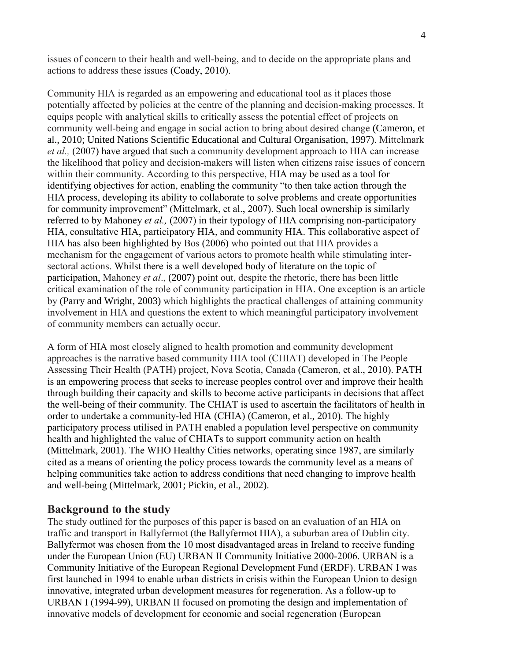issues of concern to their health and well-being, and to decide on the appropriate plans and actions to address these issues [\(Coady, 2010\)](#page-13-7).

Community HIA is regarded as an empowering and educational tool as it places those potentially affected by policies at the centre of the planning and decision-making processes. It equips people with analytical skills to critically assess the potential effect of projects on community well-being and engage in social action to bring about desired change [\(Cameron, et](#page-13-3)  [al., 2010;](#page-13-3) [United Nations Scientific Educational and Cultural Organisation, 1997\)](#page-14-4). Mittelmark *et al.,* [\(2007\)](#page-14-6) have argued that such a community development approach to HIA can increase the likelihood that policy and decision-makers will listen when citizens raise issues of concern within their community. According to this perspective, HIA may be used as a tool for identifying objectives for action, enabling the community "to then take action through the HIA process, developing its ability to collaborate to solve problems and create opportunities for community improvement" [\(Mittelmark,](#page-14-6) et al., 2007). Such local ownership is similarly referred to by Mahoney *et al.,* [\(2007\)](#page-14-8) in their typology of HIA comprising non-participatory HIA, consultative HIA, participatory HIA, and community HIA. This collaborative aspect of HIA has also been highlighted by Bos [\(2006\)](#page-13-2) who pointed out that HIA provides a mechanism for the engagement of various actors to promote health while stimulating intersectoral actions. Whilst there is a well developed body of literature on the topic of participation, Mahoney *et al*., [\(2007\)](#page-14-8) point out, despite the rhetoric, there has been little critical examination of the role of community participation in HIA. One exception is an article by [\(Parry and Wright, 2003\)](#page-14-11) which highlights the practical challenges of attaining community involvement in HIA and questions the extent to which meaningful participatory involvement of community members can actually occur.

A form of HIA most closely aligned to health promotion and community development approaches is the narrative based community HIA tool (CHIAT) developed in The People Assessing Their Health (PATH) project, Nova Scotia, Canada [\(Cameron, et al., 2010\)](#page-13-3). PATH is an empowering process that seeks to increase peoples control over and improve their health through building their capacity and skills to become active participants in decisions that affect the well-being of their community. The CHIAT is used to ascertain the facilitators of health in order to undertake a community-led HIA (CHIA) [\(Cameron, et al., 2010\)](#page-13-3). The highly participatory process utilised in PATH enabled a population level perspective on community health and highlighted the value of CHIATs to support community action on health [\(Mittelmark, 2001\)](#page-14-5). The WHO Healthy Cities networks, operating since 1987, are similarly cited as a means of orienting the policy process towards the community level as a means of helping communities take action to address conditions that need changing to improve health and well-being [\(Mittelmark, 2001;](#page-14-5) [Pickin, et al., 2002\)](#page-14-12).

## **Background to the study**

The study outlined for the purposes of this paper is based on an evaluation of an HIA on traffic and transport in Ballyfermot (the Ballyfermot HIA), a suburban area of Dublin city. Ballyfermot was chosen from the 10 most disadvantaged areas in Ireland to receive funding under the European Union (EU) URBAN II Community Initiative 2000-2006. URBAN is a Community Initiative of the European Regional Development Fund (ERDF). URBAN I was first launched in 1994 to enable urban districts in crisis within the European Union to design innovative, integrated urban development measures for regeneration. As a follow-up to URBAN I (1994-99), URBAN II focused on promoting the design and implementation of innovative models of development for economic and social regeneration [\(European](#page-13-8)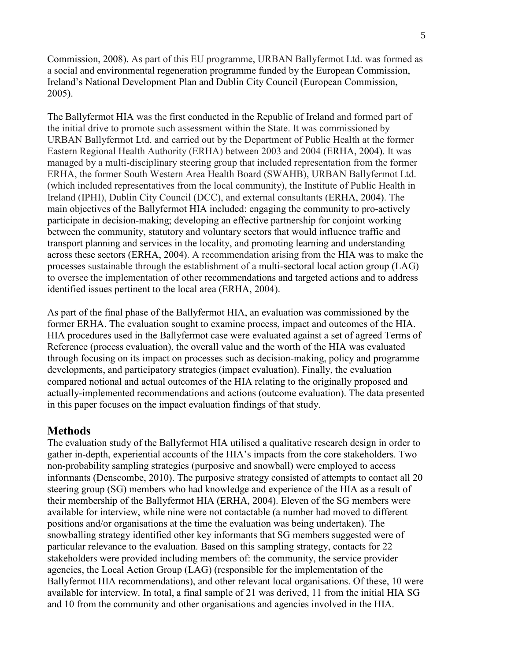[Commission, 2008\)](#page-13-8). As part of this EU programme, URBAN Ballyfermot Ltd. was formed as a social and environmental regeneration programme funded by the European Commission, Ireland's National Development Plan and Dublin City Council [\(European Commission,](#page-13-9)  [2005\)](#page-13-9).

The Ballyfermot HIA was the first conducted in the Republic of Ireland and formed part of the initial drive to promote such assessment within the State. It was commissioned by URBAN Ballyfermot Ltd. and carried out by the Department of Public Health at the former Eastern Regional Health Authority (ERHA) between 2003 and 2004 [\(ERHA, 2004\)](#page-13-10). It was managed by a multi-disciplinary steering group that included representation from the former ERHA, the former South Western Area Health Board (SWAHB), URBAN Ballyfermot Ltd. (which included representatives from the local community), the Institute of Public Health in Ireland (IPHI), Dublin City Council (DCC), and external consultants [\(ERHA, 2004\)](#page-13-10). The main objectives of the Ballyfermot HIA included: engaging the community to pro-actively participate in decision-making; developing an effective partnership for conjoint working between the community, statutory and voluntary sectors that would influence traffic and transport planning and services in the locality, and promoting learning and understanding across these sectors [\(ERHA, 2004\)](#page-13-10). A recommendation arising from the HIA was to make the processes sustainable through the establishment of a multi-sectoral local action group (LAG) to oversee the implementation of other recommendations and targeted actions and to address identified issues pertinent to the local area [\(ERHA, 2004\)](#page-13-10).

As part of the final phase of the Ballyfermot HIA, an evaluation was commissioned by the former ERHA. The evaluation sought to examine process, impact and outcomes of the HIA. HIA procedures used in the Ballyfermot case were evaluated against a set of agreed Terms of Reference (process evaluation), the overall value and the worth of the HIA was evaluated through focusing on its impact on processes such as decision-making, policy and programme developments, and participatory strategies (impact evaluation). Finally, the evaluation compared notional and actual outcomes of the HIA relating to the originally proposed and actually-implemented recommendations and actions (outcome evaluation). The data presented in this paper focuses on the impact evaluation findings of that study.

## **Methods**

The evaluation study of the Ballyfermot HIA utilised a qualitative research design in order to gather in-depth, experiential accounts of the HIA's impacts from the core stakeholders. Two non-probability sampling strategies (purposive and snowball) were employed to access informants [\(Denscombe, 2010\)](#page-13-11). The purposive strategy consisted of attempts to contact all 20 steering group (SG) members who had knowledge and experience of the HIA as a result of their membership of the Ballyfermot HIA [\(ERHA, 2004\)](#page-13-10). Eleven of the SG members were available for interview, while nine were not contactable (a number had moved to different positions and/or organisations at the time the evaluation was being undertaken). The snowballing strategy identified other key informants that SG members suggested were of particular relevance to the evaluation. Based on this sampling strategy, contacts for 22 stakeholders were provided including members of: the community, the service provider agencies, the Local Action Group (LAG) (responsible for the implementation of the Ballyfermot HIA recommendations), and other relevant local organisations. Of these, 10 were available for interview. In total, a final sample of 21 was derived, 11 from the initial HIA SG and 10 from the community and other organisations and agencies involved in the HIA.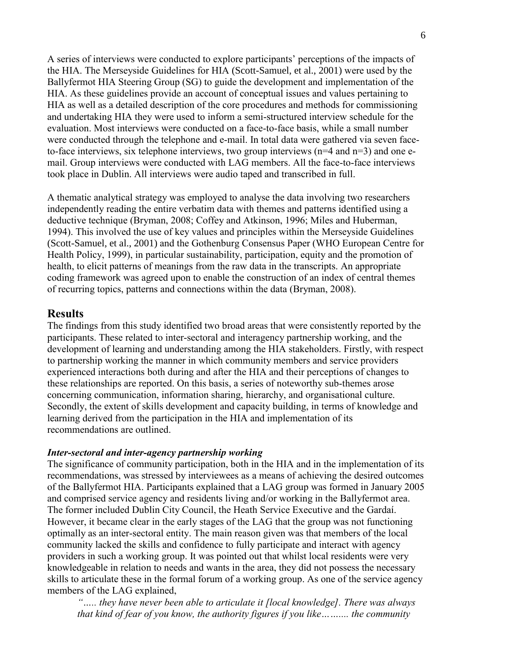A series of interviews were conducted to explore participants' perceptions of the impacts of the HIA. The Merseyside Guidelines for HIA [\(Scott-Samuel, et al., 2001\)](#page-14-0) were used by the Ballyfermot HIA Steering Group (SG) to guide the development and implementation of the HIA. As these guidelines provide an account of conceptual issues and values pertaining to HIA as well as a detailed description of the core procedures and methods for commissioning and undertaking HIA they were used to inform a semi-structured interview schedule for the evaluation. Most interviews were conducted on a face-to-face basis, while a small number were conducted through the telephone and e-mail. In total data were gathered via seven faceto-face interviews, six telephone interviews, two group interviews (n=4 and n=3) and one email. Group interviews were conducted with LAG members. All the face-to-face interviews took place in Dublin. All interviews were audio taped and transcribed in full.

A thematic analytical strategy was employed to analyse the data involving two researchers independently reading the entire verbatim data with themes and patterns identified using a deductive technique [\(Bryman, 2008;](#page-13-12) [Coffey and Atkinson, 1996;](#page-13-13) [Miles and Huberman,](#page-14-13)  [1994\)](#page-14-13). This involved the use of key values and principles within the Merseyside Guidelines [\(Scott-Samuel, et al., 2001\)](#page-14-0) and the Gothenburg Consensus Paper [\(WHO European Centre for](#page-15-0)  [Health Policy, 1999\)](#page-15-0), in particular sustainability, participation, equity and the promotion of health, to elicit patterns of meanings from the raw data in the transcripts. An appropriate coding framework was agreed upon to enable the construction of an index of central themes of recurring topics, patterns and connections within the data [\(Bryman, 2008\)](#page-13-12).

#### **Results**

The findings from this study identified two broad areas that were consistently reported by the participants. These related to inter-sectoral and interagency partnership working, and the development of learning and understanding among the HIA stakeholders. Firstly, with respect to partnership working the manner in which community members and service providers experienced interactions both during and after the HIA and their perceptions of changes to these relationships are reported. On this basis, a series of noteworthy sub-themes arose concerning communication, information sharing, hierarchy, and organisational culture. Secondly, the extent of skills development and capacity building, in terms of knowledge and learning derived from the participation in the HIA and implementation of its recommendations are outlined.

#### *Inter-sectoral and inter-agency partnership working*

The significance of community participation, both in the HIA and in the implementation of its recommendations, was stressed by interviewees as a means of achieving the desired outcomes of the Ballyfermot HIA. Participants explained that a LAG group was formed in January 2005 and comprised service agency and residents living and/or working in the Ballyfermot area. The former included Dublin City Council, the Heath Service Executive and the Gardaí. However, it became clear in the early stages of the LAG that the group was not functioning optimally as an inter-sectoral entity. The main reason given was that members of the local community lacked the skills and confidence to fully participate and interact with agency providers in such a working group. It was pointed out that whilst local residents were very knowledgeable in relation to needs and wants in the area, they did not possess the necessary skills to articulate these in the formal forum of a working group. As one of the service agency members of the LAG explained,

*"….. they have never been able to articulate it [local knowledge]. There was always that kind of fear of you know, the authority figures if you like…….... the community*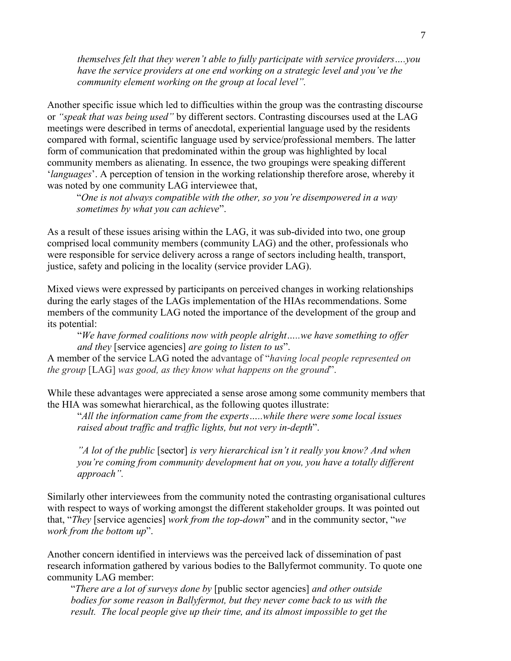*themselves felt that they weren't able to fully participate with service providers….you have the service providers at one end working on a strategic level and you've the community element working on the group at local level".* 

Another specific issue which led to difficulties within the group was the contrasting discourse or *"speak that was being used"* by different sectors. Contrasting discourses used at the LAG meetings were described in terms of anecdotal, experiential language used by the residents compared with formal, scientific language used by service/professional members. The latter form of communication that predominated within the group was highlighted by local community members as alienating. In essence, the two groupings were speaking different '*languages*'. A perception of tension in the working relationship therefore arose, whereby it was noted by one community LAG interviewee that,

"*One is not always compatible with the other, so you're disempowered in a way sometimes by what you can achieve*".

As a result of these issues arising within the LAG, it was sub-divided into two, one group comprised local community members (community LAG) and the other, professionals who were responsible for service delivery across a range of sectors including health, transport, justice, safety and policing in the locality (service provider LAG).

Mixed views were expressed by participants on perceived changes in working relationships during the early stages of the LAGs implementation of the HIAs recommendations. Some members of the community LAG noted the importance of the development of the group and its potential:

"*We have formed coalitions now with people alright…..we have something to offer and they* [service agencies] *are going to listen to us*".

A member of the service LAG noted the advantage of "*having local people represented on the group* [LAG] *was good, as they know what happens on the ground*".

While these advantages were appreciated a sense arose among some community members that the HIA was somewhat hierarchical, as the following quotes illustrate:

"*All the information came from the experts…..while there were some local issues raised about traffic and traffic lights, but not very in-depth*".

*"A lot of the public* [sector] *is very hierarchical isn't it really you know? And when you're coming from community development hat on you, you have a totally different approach".*

Similarly other interviewees from the community noted the contrasting organisational cultures with respect to ways of working amongst the different stakeholder groups. It was pointed out that, "*They* [service agencies] *work from the top-down*" and in the community sector, "*we work from the bottom up*".

Another concern identified in interviews was the perceived lack of dissemination of past research information gathered by various bodies to the Ballyfermot community. To quote one community LAG member:

"*There are a lot of surveys done by* [public sector agencies] *and other outside bodies for some reason in Ballyfermot, but they never come back to us with the result. The local people give up their time, and its almost impossible to get the*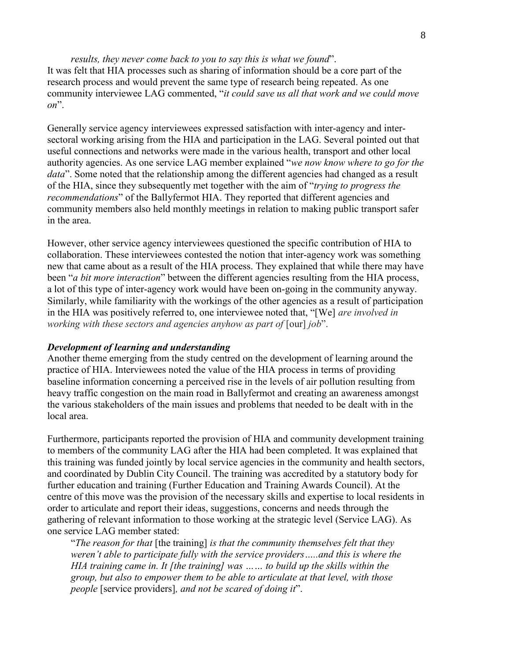*results, they never come back to you to say this is what we found*". It was felt that HIA processes such as sharing of information should be a core part of the research process and would prevent the same type of research being repeated. As one community interviewee LAG commented, "*it could save us all that work and we could move on*".

Generally service agency interviewees expressed satisfaction with inter-agency and intersectoral working arising from the HIA and participation in the LAG. Several pointed out that useful connections and networks were made in the various health, transport and other local authority agencies. As one service LAG member explained "*we now know where to go for the data*". Some noted that the relationship among the different agencies had changed as a result of the HIA, since they subsequently met together with the aim of "*trying to progress the recommendations*" of the Ballyfermot HIA. They reported that different agencies and community members also held monthly meetings in relation to making public transport safer in the area.

However, other service agency interviewees questioned the specific contribution of HIA to collaboration. These interviewees contested the notion that inter-agency work was something new that came about as a result of the HIA process. They explained that while there may have been "*a bit more interaction*" between the different agencies resulting from the HIA process, a lot of this type of inter-agency work would have been on-going in the community anyway. Similarly, while familiarity with the workings of the other agencies as a result of participation in the HIA was positively referred to, one interviewee noted that, "[We] *are involved in working with these sectors and agencies anyhow as part of* [our] *job*".

#### *Development of learning and understanding*

Another theme emerging from the study centred on the development of learning around the practice of HIA. Interviewees noted the value of the HIA process in terms of providing baseline information concerning a perceived rise in the levels of air pollution resulting from heavy traffic congestion on the main road in Ballyfermot and creating an awareness amongst the various stakeholders of the main issues and problems that needed to be dealt with in the local area.

Furthermore, participants reported the provision of HIA and community development training to members of the community LAG after the HIA had been completed. It was explained that this training was funded jointly by local service agencies in the community and health sectors, and coordinated by Dublin City Council. The training was accredited by a statutory body for further education and training (Further Education and Training Awards Council). At the centre of this move was the provision of the necessary skills and expertise to local residents in order to articulate and report their ideas, suggestions, concerns and needs through the gathering of relevant information to those working at the strategic level (Service LAG). As one service LAG member stated:

"*The reason for that* [the training] *is that the community themselves felt that they weren't able to participate fully with the service providers…..and this is where the HIA training came in. It [the training] was …… to build up the skills within the group, but also to empower them to be able to articulate at that level, with those people* [service providers]*, and not be scared of doing it*".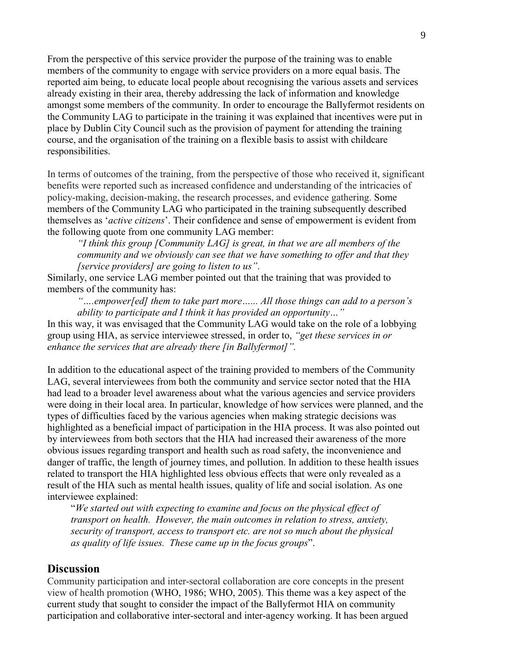From the perspective of this service provider the purpose of the training was to enable members of the community to engage with service providers on a more equal basis. The reported aim being, to educate local people about recognising the various assets and services already existing in their area, thereby addressing the lack of information and knowledge amongst some members of the community. In order to encourage the Ballyfermot residents on the Community LAG to participate in the training it was explained that incentives were put in place by Dublin City Council such as the provision of payment for attending the training course, and the organisation of the training on a flexible basis to assist with childcare responsibilities.

In terms of outcomes of the training, from the perspective of those who received it, significant benefits were reported such as increased confidence and understanding of the intricacies of policy-making, decision-making, the research processes, and evidence gathering. Some members of the Community LAG who participated in the training subsequently described themselves as '*active citizens*'. Their confidence and sense of empowerment is evident from the following quote from one community LAG member:

*"I think this group [Community LAG] is great, in that we are all members of the community and we obviously can see that we have something to offer and that they [service providers] are going to listen to us"*.

Similarly, one service LAG member pointed out that the training that was provided to members of the community has:

*"….empower[ed] them to take part more…... All those things can add to a person's ability to participate and I think it has provided an opportunity…"* 

In this way, it was envisaged that the Community LAG would take on the role of a lobbying group using HIA, as service interviewee stressed, in order to, *"get these services in or enhance the services that are already there [in Ballyfermot]".*

In addition to the educational aspect of the training provided to members of the Community LAG, several interviewees from both the community and service sector noted that the HIA had lead to a broader level awareness about what the various agencies and service providers were doing in their local area. In particular, knowledge of how services were planned, and the types of difficulties faced by the various agencies when making strategic decisions was highlighted as a beneficial impact of participation in the HIA process. It was also pointed out by interviewees from both sectors that the HIA had increased their awareness of the more obvious issues regarding transport and health such as road safety, the inconvenience and danger of traffic, the length of journey times, and pollution. In addition to these health issues related to transport the HIA highlighted less obvious effects that were only revealed as a result of the HIA such as mental health issues, quality of life and social isolation. As one interviewee explained:

"*We started out with expecting to examine and focus on the physical effect of transport on health. However, the main outcomes in relation to stress, anxiety, security of transport, access to transport etc. are not so much about the physical as quality of life issues. These came up in the focus groups*".

#### **Discussion**

Community participation and inter-sectoral collaboration are core concepts in the present view of health promotion [\(WHO, 1986;](#page-14-14) [WHO, 2005\)](#page-15-1). This theme was a key aspect of the current study that sought to consider the impact of the Ballyfermot HIA on community participation and collaborative inter-sectoral and inter-agency working. It has been argued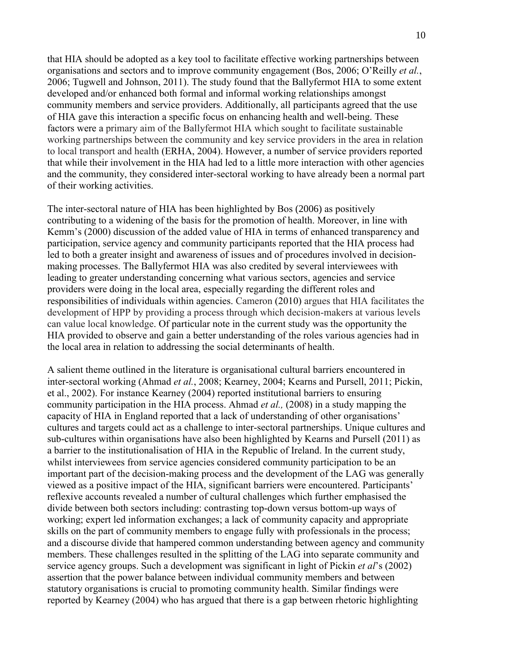that HIA should be adopted as a key tool to facilitate effective working partnerships between organisations and sectors and to improve community engagement [\(Bos, 2006;](#page-13-2) O'Reilly *et al.*, 2006; [Tugwell and Johnson, 2011\)](#page-14-15). The study found that the Ballyfermot HIA to some extent developed and/or enhanced both formal and informal working relationships amongst community members and service providers. Additionally, all participants agreed that the use of HIA gave this interaction a specific focus on enhancing health and well-being. These factors were a primary aim of the Ballyfermot HIA which sought to facilitate sustainable working partnerships between the community and key service providers in the area in relation to local transport and health [\(ERHA, 2004\)](#page-13-10). However, a number of service providers reported that while their involvement in the HIA had led to a little more interaction with other agencies and the community, they considered inter-sectoral working to have already been a normal part of their working activities.

The inter-sectoral nature of HIA has been highlighted by Bos [\(2006\)](#page-13-2) as positively contributing to a widening of the basis for the promotion of health. Moreover, in line with Kemm's [\(2000\)](#page-14-10) discussion of the added value of HIA in terms of enhanced transparency and participation, service agency and community participants reported that the HIA process had led to both a greater insight and awareness of issues and of procedures involved in decisionmaking processes. The Ballyfermot HIA was also credited by several interviewees with leading to greater understanding concerning what various sectors, agencies and service providers were doing in the local area, especially regarding the different roles and responsibilities of individuals within agencies. Cameron [\(2010\)](#page-13-3) argues that HIA facilitates the development of HPP by providing a process through which decision-makers at various levels can value local knowledge. Of particular note in the current study was the opportunity the HIA provided to observe and gain a better understanding of the roles various agencies had in the local area in relation to addressing the social determinants of health.

A salient theme outlined in the literature is organisational cultural barriers encountered in inter-sectoral working [\(Ahmad](#page-13-14) *et al.*, 2008; [Kearney, 2004;](#page-13-6) [Kearns and Pursell, 2011;](#page-13-15) [Pickin,](#page-14-12)  [et al., 2002\)](#page-14-12). For instance Kearney [\(2004\)](#page-13-6) reported institutional barriers to ensuring community participation in the HIA process. Ahmad *et al.,* [\(2008\)](#page-13-14) in a study mapping the capacity of HIA in England reported that a lack of understanding of other organisations' cultures and targets could act as a challenge to inter-sectoral partnerships. Unique cultures and sub-cultures within organisations have also been highlighted by Kearns and Pursell [\(2011\)](#page-13-15) as a barrier to the institutionalisation of HIA in the Republic of Ireland. In the current study, whilst interviewees from service agencies considered community participation to be an important part of the decision-making process and the development of the LAG was generally viewed as a positive impact of the HIA, significant barriers were encountered. Participants' reflexive accounts revealed a number of cultural challenges which further emphasised the divide between both sectors including: contrasting top-down versus bottom-up ways of working; expert led information exchanges; a lack of community capacity and appropriate skills on the part of community members to engage fully with professionals in the process; and a discourse divide that hampered common understanding between agency and community members. These challenges resulted in the splitting of the LAG into separate community and service agency groups. Such a development was significant in light of Pickin *et al*'s [\(2002\)](#page-14-12) assertion that the power balance between individual community members and between statutory organisations is crucial to promoting community health. Similar findings were reported by Kearney [\(2004\)](#page-13-6) who has argued that there is a gap between rhetoric highlighting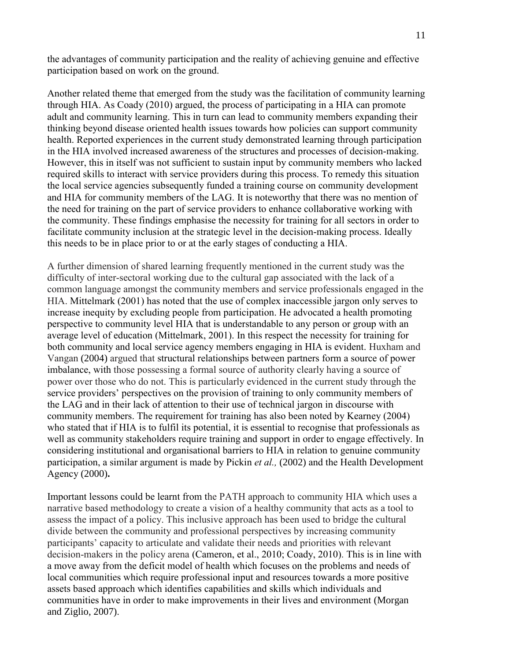the advantages of community participation and the reality of achieving genuine and effective participation based on work on the ground.

Another related theme that emerged from the study was the facilitation of community learning through HIA. As Coady [\(2010\)](#page-13-7) argued, the process of participating in a HIA can promote adult and community learning. This in turn can lead to community members expanding their thinking beyond disease oriented health issues towards how policies can support community health. Reported experiences in the current study demonstrated learning through participation in the HIA involved increased awareness of the structures and processes of decision-making. However, this in itself was not sufficient to sustain input by community members who lacked required skills to interact with service providers during this process. To remedy this situation the local service agencies subsequently funded a training course on community development and HIA for community members of the LAG. It is noteworthy that there was no mention of the need for training on the part of service providers to enhance collaborative working with the community. These findings emphasise the necessity for training for all sectors in order to facilitate community inclusion at the strategic level in the decision-making process. Ideally this needs to be in place prior to or at the early stages of conducting a HIA.

A further dimension of shared learning frequently mentioned in the current study was the difficulty of inter-sectoral working due to the cultural gap associated with the lack of a common language amongst the community members and service professionals engaged in the HIA. Mittelmark [\(2001\)](#page-14-5) has noted that the use of complex inaccessible jargon only serves to increase inequity by excluding people from participation. He advocated a health promoting perspective to community level HIA that is understandable to any person or group with an average level of education [\(Mittelmark, 2001\)](#page-14-5). In this respect the necessity for training for both community and local service agency members engaging in HIA is evident. Huxham and Vangan [\(2004\)](#page-13-16) argued that structural relationships between partners form a source of power imbalance, with those possessing a formal source of authority clearly having a source of power over those who do not. This is particularly evidenced in the current study through the service providers' perspectives on the provision of training to only community members of the LAG and in their lack of attention to their use of technical jargon in discourse with community members. The requirement for training has also been noted by Kearney [\(2004\)](#page-13-6) who stated that if HIA is to fulfil its potential, it is essential to recognise that professionals as well as community stakeholders require training and support in order to engage effectively. In considering institutional and organisational barriers to HIA in relation to genuine community participation, a similar argument is made by Pickin *et al.,* [\(2002\)](#page-14-12) and the Health Development Agency [\(2000\)](#page-13-17)**.**

Important lessons could be learnt from the PATH approach to community HIA which uses a narrative based methodology to create a vision of a healthy community that acts as a tool to assess the impact of a policy. This inclusive approach has been used to bridge the cultural divide between the community and professional perspectives by increasing community participants' capacity to articulate and validate their needs and priorities with relevant decision-makers in the policy arena [\(Cameron, et al., 2010;](#page-13-3) [Coady, 2010\)](#page-13-7). This is in line with a move away from the deficit model of health which focuses on the problems and needs of local communities which require professional input and resources towards a more positive assets based approach which identifies capabilities and skills which individuals and communities have in order to make improvements in their lives and environment [\(Morgan](#page-14-16)  [and Ziglio, 2007\)](#page-14-16).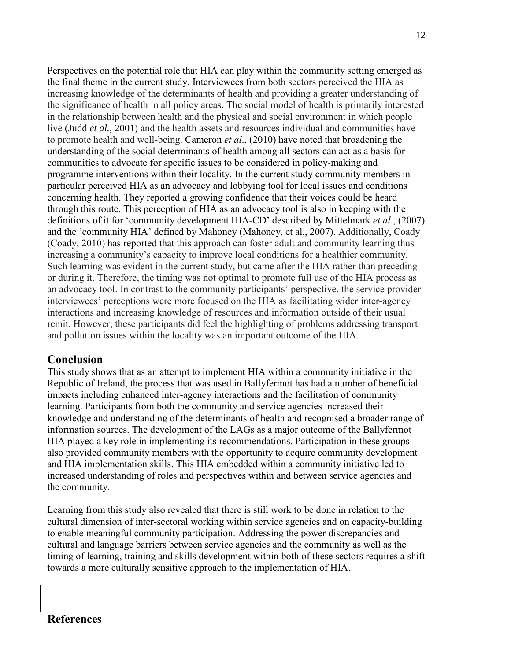Perspectives on the potential role that HIA can play within the community setting emerged as the final theme in the current study. Interviewees from both sectors perceived the HIA as increasing knowledge of the determinants of health and providing a greater understanding of the significance of health in all policy areas. The social model of health is primarily interested in the relationship between health and the physical and social environment in which people live (Judd *et al.*[, 2001\)](#page-13-18) and the health assets and resources individual and communities have to promote health and well-being. Cameron *et al*., [\(2010\)](#page-13-3) have noted that broadening the understanding of the social determinants of health among all sectors can act as a basis for communities to advocate for specific issues to be considered in policy-making and programme interventions within their locality. In the current study community members in particular perceived HIA as an advocacy and lobbying tool for local issues and conditions concerning health. They reported a growing confidence that their voices could be heard through this route. This perception of HIA as an advocacy tool is also in keeping with the definitions of it for 'community development HIA-CD' described by Mittelmark *et al*., [\(2007\)](#page-14-6) and the 'community HIA' defined by Mahoney [\(Mahoney, et al., 2007\)](#page-14-8). Additionally, Coady [\(Coady, 2010\)](#page-13-7) has reported that this approach can foster adult and community learning thus increasing a community's capacity to improve local conditions for a healthier community. Such learning was evident in the current study, but came after the HIA rather than preceding or during it. Therefore, the timing was not optimal to promote full use of the HIA process as an advocacy tool. In contrast to the community participants' perspective, the service provider interviewees' perceptions were more focused on the HIA as facilitating wider inter-agency interactions and increasing knowledge of resources and information outside of their usual remit. However, these participants did feel the highlighting of problems addressing transport and pollution issues within the locality was an important outcome of the HIA.

## **Conclusion**

This study shows that as an attempt to implement HIA within a community initiative in the Republic of Ireland, the process that was used in Ballyfermot has had a number of beneficial impacts including enhanced inter-agency interactions and the facilitation of community learning. Participants from both the community and service agencies increased their knowledge and understanding of the determinants of health and recognised a broader range of information sources. The development of the LAGs as a major outcome of the Ballyfermot HIA played a key role in implementing its recommendations. Participation in these groups also provided community members with the opportunity to acquire community development and HIA implementation skills. This HIA embedded within a community initiative led to increased understanding of roles and perspectives within and between service agencies and the community.

Learning from this study also revealed that there is still work to be done in relation to the cultural dimension of inter-sectoral working within service agencies and on capacity-building to enable meaningful community participation. Addressing the power discrepancies and cultural and language barriers between service agencies and the community as well as the timing of learning, training and skills development within both of these sectors requires a shift towards a more culturally sensitive approach to the implementation of HIA.

# **References**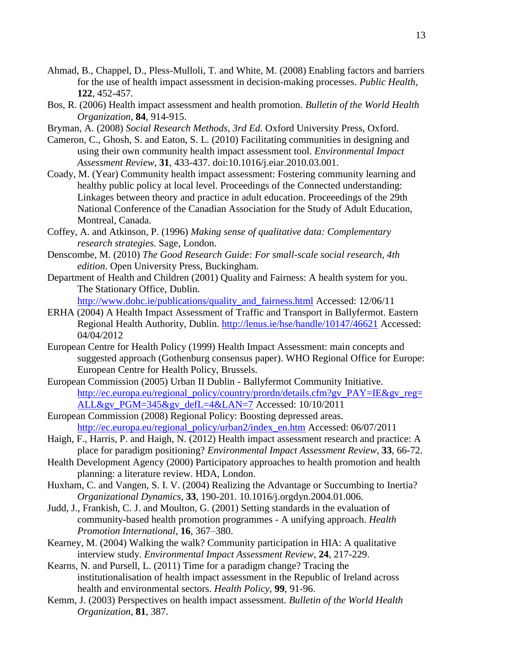- <span id="page-13-14"></span>Ahmad, B., Chappel, D., Pless-Mulloli, T. and White, M. (2008) Enabling factors and barriers for the use of health impact assessment in decision-making processes. *Public Health*, **122**, 452-457.
- <span id="page-13-2"></span>Bos, R. (2006) Health impact assessment and health promotion. *Bulletin of the World Health Organization*, **84**, 914-915.
- <span id="page-13-12"></span>Bryman, A. (2008) *Social Research Methods, 3rd Ed.* Oxford University Press, Oxford.
- <span id="page-13-3"></span>Cameron, C., Ghosh, S. and Eaton, S. L. (2010) Facilitating communities in designing and using their own community health impact assessment tool. *Environmental Impact Assessment Review*, **31**, 433-437. doi:10.1016/j.eiar.2010.03.001.
- <span id="page-13-7"></span>Coady, M. (Year) Community health impact assessment: Fostering community learning and healthy public policy at local level. Proceedings of the Connected understanding: Linkages between theory and practice in adult education. Proceeedings of the 29th National Conference of the Canadian Association for the Study of Adult Education, Montreal, Canada.
- <span id="page-13-13"></span>Coffey, A. and Atkinson, P. (1996) *Making sense of qualitative data: Complementary research strategies*. Sage, London.
- <span id="page-13-11"></span>Denscombe, M. (2010) *The Good Research Guide: For small-scale social research, 4th edition*. Open University Press, Buckingham.
- <span id="page-13-1"></span>Department of Health and Children (2001) Quality and Fairness: A health system for you. The Stationary Office, Dublin.

[http://www.dohc.ie/publications/quality\\_and\\_fairness.html](http://www.dohc.ie/publications/quality_and_fairness.html) Accessed: 12/06/11

- <span id="page-13-10"></span>ERHA (2004) A Health Impact Assessment of Traffic and Transport in Ballyfermot. Eastern Regional Health Authority, Dublin.<http://lenus.ie/hse/handle/10147/46621> Accessed: 04/04/2012
- <span id="page-13-5"></span>European Centre for Health Policy (1999) Health Impact Assessment: main concepts and suggested approach (Gothenburg consensus paper). WHO Regional Office for Europe: European Centre for Health Policy, Brussels.
- <span id="page-13-9"></span>European Commission (2005) Urban II Dublin - Ballyfermot Community Initiative. [http://ec.europa.eu/regional\\_policy/country/prordn/details.cfm?gv\\_PAY=IE&gv\\_reg=](http://ec.europa.eu/regional_policy/country/prordn/details.cfm?gv_PAY=IE&gv_reg=ALL&gv_PGM=345&gv_defL=4&LAN=7) [ALL&gv\\_PGM=345&gv\\_defL=4&LAN=7](http://ec.europa.eu/regional_policy/country/prordn/details.cfm?gv_PAY=IE&gv_reg=ALL&gv_PGM=345&gv_defL=4&LAN=7) Accessed: 10/10/2011
- <span id="page-13-8"></span>European Commission (2008) Regional Policy: Boosting depressed areas. [http://ec.europa.eu/regional\\_policy/urban2/index\\_en.htm](http://ec.europa.eu/regional_policy/urban2/index_en.htm) Accessed: 06/07/2011
- <span id="page-13-4"></span>Haigh, F., Harris, P. and Haigh, N. (2012) Health impact assessment research and practice: A place for paradigm positioning? *Environmental Impact Assessment Review*, **33**, 66-72.
- <span id="page-13-17"></span>Health Development Agency (2000) Participatory approaches to health promotion and health planning: a literature review. HDA, London.
- <span id="page-13-16"></span>Huxham, C. and Vangen, S. I. V. (2004) Realizing the Advantage or Succumbing to Inertia? *Organizational Dynamics*, **33**, 190-201. 10.1016/j.orgdyn.2004.01.006.
- <span id="page-13-18"></span>Judd, J., Frankish, C. J. and Moulton, G. (2001) Setting standards in the evaluation of community-based health promotion programmes - A unifying approach. *Health Promotion International*, **16**, 367–380.
- <span id="page-13-6"></span>Kearney, M. (2004) Walking the walk? Community participation in HIA: A qualitative interview study. *Environmental Impact Assessment Review*, **24**, 217-229.
- <span id="page-13-15"></span>Kearns, N. and Pursell, L. (2011) Time for a paradigm change? Tracing the institutionalisation of health impact assessment in the Republic of Ireland across health and environmental sectors. *Health Policy*, **99**, 91-96.
- <span id="page-13-0"></span>Kemm, J. (2003) Perspectives on health impact assessment. *Bulletin of the World Health Organization*, **81**, 387.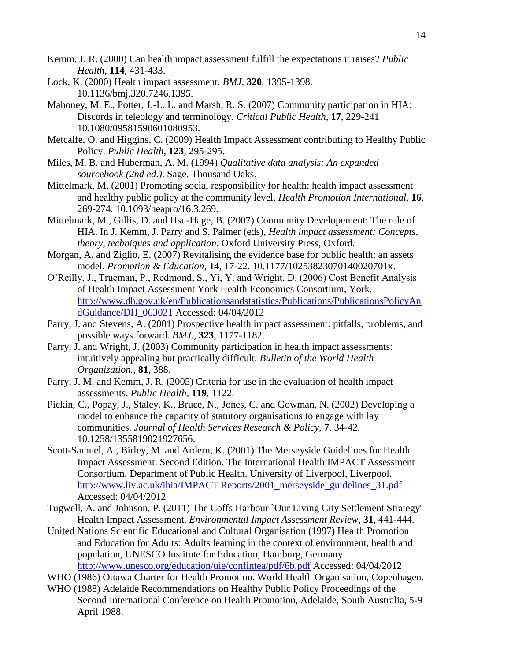- <span id="page-14-10"></span>Kemm, J. R. (2000) Can health impact assessment fulfill the expectations it raises? *Public Health*, **114**, 431-433.
- <span id="page-14-2"></span>Lock, K. (2000) Health impact assessment. *BMJ*, **320**, 1395-1398. 10.1136/bmj.320.7246.1395.
- <span id="page-14-8"></span>Mahoney, M. E., Potter, J.-L. L. and Marsh, R. S. (2007) Community participation in HIA: Discords in teleology and terminology. *Critical Public Health*, **17**, 229-241 10.1080/09581590601080953.
- <span id="page-14-9"></span>Metcalfe, O. and Higgins, C. (2009) Health Impact Assessment contributing to Healthy Public Policy. *Public Health*, **123**, 295-295.
- <span id="page-14-13"></span>Miles, M. B. and Huberman, A. M. (1994) *Qualitative data analysis: An expanded sourcebook (2nd ed.)*. Sage, Thousand Oaks.
- <span id="page-14-5"></span>Mittelmark, M. (2001) Promoting social responsibility for health: health impact assessment and healthy public policy at the community level. *Health Promotion International*, **16**, 269-274. 10.1093/heapro/16.3.269.
- <span id="page-14-6"></span>Mittelmark, M., Gillis, D. and Hsu-Hage, B. (2007) Community Developement: The role of HIA. In J. Kemm, J. Parry and S. Palmer (eds), *Health impact assessment: Concepts, theory, techniques and application*. Oxford University Press, Oxford.
- <span id="page-14-16"></span>Morgan, A. and Ziglio, E. (2007) Revitalising the evidence base for public health: an assets model. *Promotion & Education*, **14**, 17-22. 10.1177/10253823070140020701x.
- O'Reilly, J., Trueman, P., Redmond, S., Yi, Y. and Wright, D. (2006) Cost Benefit Analysis of Health Impact Assessment York Health Economics Consortium, York. [http://www.dh.gov.uk/en/Publicationsandstatistics/Publications/PublicationsPolicyAn](http://www.dh.gov.uk/en/Publicationsandstatistics/Publications/PublicationsPolicyAndGuidance/DH_063021) [dGuidance/DH\\_063021](http://www.dh.gov.uk/en/Publicationsandstatistics/Publications/PublicationsPolicyAndGuidance/DH_063021) Accessed: 04/04/2012
- <span id="page-14-3"></span>Parry, J. and Stevens, A. (2001) Prospective health impact assessment: pitfalls, problems, and possible ways forward. *BMJ.*, **323**, 1177-1182.
- <span id="page-14-11"></span>Parry, J. and Wright, J. (2003) Community participation in health impact assessments: intuitively appealing but practically difficult. *Bulletin of the World Health Organization.*, **81**, 388.
- <span id="page-14-1"></span>Parry, J. M. and Kemm, J. R. (2005) Criteria for use in the evaluation of health impact assessments. *Public Health*, **119**, 1122.
- <span id="page-14-12"></span>Pickin, C., Popay, J., Staley, K., Bruce, N., Jones, C. and Gowman, N. (2002) Developing a model to enhance the capacity of statutory organisations to engage with lay communities. *Journal of Health Services Research & Policy*, **7**, 34-42. 10.1258/1355819021927656.
- <span id="page-14-0"></span>Scott-Samuel, A., Birley, M. and Ardern, K. (2001) The Merseyside Guidelines for Health Impact Assessment. Second Edition. The International Health IMPACT Assessment Consortium. Department of Public Health. University of Liverpool, Liverpool. [http://www.liv.ac.uk/ihia/IMPACT Reports/2001\\_merseyside\\_guidelines\\_31.pdf](http://www.liv.ac.uk/ihia/IMPACT%20Reports/2001_merseyside_guidelines_31.pdf) Accessed: 04/04/2012
- <span id="page-14-15"></span>Tugwell, A. and Johnson, P. (2011) The Coffs Harbour `Our Living City Settlement Strategy' Health Impact Assessment. *Environmental Impact Assessment Review*, **31**, 441-444.
- <span id="page-14-4"></span>United Nations Scientific Educational and Cultural Organisation (1997) Health Promotion and Education for Adults: Adults learning in the context of environment, health and population, UNESCO Institute for Education, Hamburg, Germany. <http://www.unesco.org/education/uie/confintea/pdf/6b.pdf> Accessed: 04/04/2012
- <span id="page-14-14"></span>WHO (1986) Ottawa Charter for Health Promotion. World Health Organisation, Copenhagen.
- <span id="page-14-7"></span>WHO (1988) Adelaide Recommendations on Healthy Public Policy Proceedings of the Second International Conference on Health Promotion, Adelaide, South Australia, 5-9 April 1988.